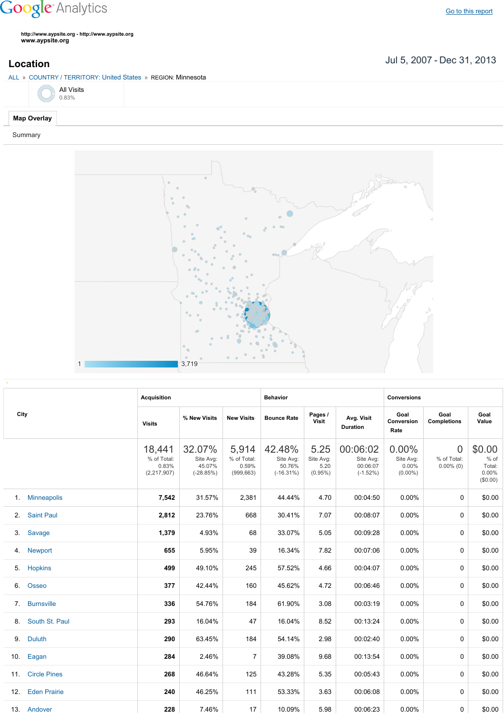## **Google** Analytics

**http://www.aypsite.org http://www.aypsite.org www.aypsite.org**

**Location** Jul 5, 2007 - Dec 31, 2013

| ALL » COUNTRY / TERRITORY: United States » REGION: Minnesota |  |
|--------------------------------------------------------------|--|
| $\bigodot$ All Visits                                        |  |
| Map Overlay                                                  |  |

Summary



|      |                     | <b>Acquisition</b>                              |                                              |                                             | <b>Behavior</b>                               |                                         |                                                 | <b>Conversions</b>                           |                                               |                                               |
|------|---------------------|-------------------------------------------------|----------------------------------------------|---------------------------------------------|-----------------------------------------------|-----------------------------------------|-------------------------------------------------|----------------------------------------------|-----------------------------------------------|-----------------------------------------------|
| City |                     | <b>Visits</b>                                   | % New Visits                                 | <b>New Visits</b>                           | <b>Bounce Rate</b>                            | Pages /<br><b>Visit</b>                 | Avg. Visit<br><b>Duration</b>                   | Goal<br>Conversion<br>Rate                   | Goal<br><b>Completions</b>                    | Goal<br>Value                                 |
|      |                     | 18,441<br>% of Total:<br>0.83%<br>(2, 217, 907) | 32.07%<br>Site Avg:<br>45.07%<br>$(-28.85%)$ | 5,914<br>% of Total:<br>0.59%<br>(999, 663) | 42.48%<br>Site Avg:<br>50.76%<br>$(-16.31\%)$ | 5.25<br>Site Avg:<br>5.20<br>$(0.95\%)$ | 00:06:02<br>Site Avg:<br>00:06:07<br>$(-1.52%)$ | $0.00\%$<br>Site Avg:<br>0.00%<br>$(0.00\%)$ | $\overline{0}$<br>% of Total:<br>$0.00\%$ (0) | \$0.00<br>% of<br>Total:<br>0.00%<br>(\$0.00) |
|      | 1. Minneapolis      | 7,542                                           | 31.57%                                       | 2,381                                       | 44.44%                                        | 4.70                                    | 00:04:50                                        | 0.00%                                        | 0                                             | \$0.00                                        |
| 2.   | <b>Saint Paul</b>   | 2,812                                           | 23.76%                                       | 668                                         | 30.41%                                        | 7.07                                    | 00:08:07                                        | $0.00\%$                                     | $\Omega$                                      | \$0.00                                        |
| 3.   | Savage              | 1,379                                           | 4.93%                                        | 68                                          | 33.07%                                        | 5.05                                    | 00:09:28                                        | 0.00%                                        | 0                                             | \$0.00                                        |
| 4.   | Newport             | 655                                             | 5.95%                                        | 39                                          | 16.34%                                        | 7.82                                    | 00:07:06                                        | $0.00\%$                                     | $\Omega$                                      | \$0.00                                        |
| 5.   | <b>Hopkins</b>      | 499                                             | 49.10%                                       | 245                                         | 57.52%                                        | 4.66                                    | 00:04:07                                        | $0.00\%$                                     | 0                                             | \$0.00                                        |
| 6.   | <b>Osseo</b>        | 377                                             | 42.44%                                       | 160                                         | 45.62%                                        | 4.72                                    | 00:06:46                                        | $0.00\%$                                     | $\Omega$                                      | \$0.00                                        |
| 7.   | <b>Burnsville</b>   | 336                                             | 54.76%                                       | 184                                         | 61.90%                                        | 3.08                                    | 00:03:19                                        | $0.00\%$                                     | 0                                             | \$0.00                                        |
| 8.   | South St. Paul      | 293                                             | 16.04%                                       | 47                                          | 16.04%                                        | 8.52                                    | 00:13:24                                        | $0.00\%$                                     | $\Omega$                                      | \$0.00                                        |
| 9.   | <b>Duluth</b>       | 290                                             | 63.45%                                       | 184                                         | 54.14%                                        | 2.98                                    | 00:02:40                                        | $0.00\%$                                     | $\Omega$                                      | \$0.00                                        |
| 10.  | Eagan               | 284                                             | 2.46%                                        | $\overline{7}$                              | 39.08%                                        | 9.68                                    | 00:13:54                                        | $0.00\%$                                     | 0                                             | \$0.00                                        |
| 11.  | <b>Circle Pines</b> | 268                                             | 46.64%                                       | 125                                         | 43.28%                                        | 5.35                                    | 00:05:43                                        | 0.00%                                        | $\Omega$                                      | \$0.00                                        |
| 12.  | <b>Eden Prairie</b> | 240                                             | 46.25%                                       | 111                                         | 53.33%                                        | 3.63                                    | 00:06:08                                        | $0.00\%$                                     | 0                                             | \$0.00                                        |
|      | 13. Andover         | 228                                             | 7.46%                                        | 17                                          | 10.09%                                        | 5.98                                    | 00:06:23                                        | 0.00%                                        | 0                                             | \$0.00                                        |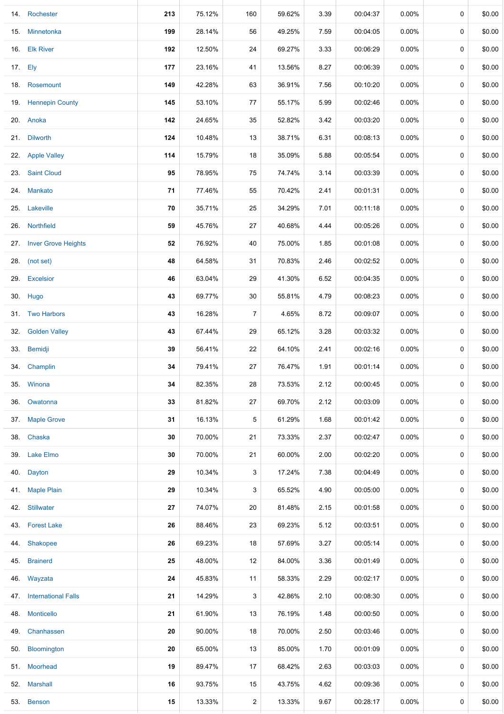|     | 14. Rochester           | 213 | 75.12% | 160            | 59.62% | 3.39 | 00:04:37 | 0.00%    | 0 | \$0.00 |
|-----|-------------------------|-----|--------|----------------|--------|------|----------|----------|---|--------|
|     | 15. Minnetonka          | 199 | 28.14% | 56             | 49.25% | 7.59 | 00:04:05 | $0.00\%$ | 0 | \$0.00 |
|     | 16. Elk River           | 192 | 12.50% | 24             | 69.27% | 3.33 | 00:06:29 | 0.00%    | 0 | \$0.00 |
|     | 17. Ely                 | 177 | 23.16% | 41             | 13.56% | 8.27 | 00:06:39 | 0.00%    | 0 | \$0.00 |
|     | 18. Rosemount           | 149 | 42.28% | 63             | 36.91% | 7.56 | 00:10:20 | 0.00%    | 0 | \$0.00 |
|     | 19. Hennepin County     | 145 | 53.10% | 77             | 55.17% | 5.99 | 00:02:46 | $0.00\%$ | 0 | \$0.00 |
|     | 20. Anoka               | 142 | 24.65% | 35             | 52.82% | 3.42 | 00:03:20 | $0.00\%$ | 0 | \$0.00 |
|     | 21. Dilworth            | 124 | 10.48% | 13             | 38.71% | 6.31 | 00:08:13 | $0.00\%$ | 0 | \$0.00 |
|     | 22. Apple Valley        | 114 | 15.79% | 18             | 35.09% | 5.88 | 00:05:54 | $0.00\%$ | 0 | \$0.00 |
|     | 23. Saint Cloud         | 95  | 78.95% | 75             | 74.74% | 3.14 | 00:03:39 | $0.00\%$ | 0 | \$0.00 |
|     | 24. Mankato             | 71  | 77.46% | 55             | 70.42% | 2.41 | 00:01:31 | $0.00\%$ | 0 | \$0.00 |
|     | 25. Lakeville           | 70  | 35.71% | 25             | 34.29% | 7.01 | 00:11:18 | $0.00\%$ | 0 | \$0.00 |
|     | 26. Northfield          | 59  | 45.76% | 27             | 40.68% | 4.44 | 00:05:26 | $0.00\%$ | 0 | \$0.00 |
|     | 27. Inver Grove Heights | 52  | 76.92% | 40             | 75.00% | 1.85 | 00:01:08 | $0.00\%$ | 0 | \$0.00 |
|     | 28. (not set)           | 48  | 64.58% | 31             | 70.83% | 2.46 | 00:02:52 | $0.00\%$ | 0 | \$0.00 |
|     | 29. Excelsior           | 46  | 63.04% | 29             | 41.30% | 6.52 | 00:04:35 | 0.00%    | 0 | \$0.00 |
|     | 30. Hugo                | 43  | 69.77% | 30             | 55.81% | 4.79 | 00:08:23 | $0.00\%$ | 0 | \$0.00 |
|     | 31. Two Harbors         | 43  | 16.28% | $\overline{7}$ | 4.65%  | 8.72 | 00:09:07 | 0.00%    | 0 | \$0.00 |
|     | 32. Golden Valley       | 43  | 67.44% | 29             | 65.12% | 3.28 | 00:03:32 | 0.00%    | 0 | \$0.00 |
|     | 33. Bemidji             | 39  | 56.41% | 22             | 64.10% | 2.41 | 00:02:16 | 0.00%    | 0 | \$0.00 |
|     | 34. Champlin            | 34  | 79.41% | 27             | 76.47% | 1.91 | 00:01:14 | 0.00%    | 0 | \$0.00 |
|     | 35. Winona              | 34  | 82.35% | 28             | 73.53% | 2.12 | 00:00:45 | 0.00%    | 0 | \$0.00 |
| 36. | Owatonna                | 33  | 81.82% | 27             | 69.70% | 2.12 | 00:03:09 | $0.00\%$ | 0 | \$0.00 |
|     | 37. Maple Grove         | 31  | 16.13% | 5              | 61.29% | 1.68 | 00:01:42 | $0.00\%$ | 0 | \$0.00 |
|     | 38. Chaska              | 30  | 70.00% | 21             | 73.33% | 2.37 | 00:02:47 | $0.00\%$ | 0 | \$0.00 |
|     | 39. Lake Elmo           | 30  | 70.00% | 21             | 60.00% | 2.00 | 00:02:20 | $0.00\%$ | 0 | \$0.00 |
| 40. | Dayton                  | 29  | 10.34% | 3              | 17.24% | 7.38 | 00:04:49 | $0.00\%$ | 0 | \$0.00 |
|     | 41. Maple Plain         | 29  | 10.34% | 3              | 65.52% | 4.90 | 00:05:00 | $0.00\%$ | 0 | \$0.00 |
|     | 42. Stillwater          | 27  | 74.07% | 20             | 81.48% | 2.15 | 00:01:58 | 0.00%    | 0 | \$0.00 |
|     | 43. Forest Lake         | 26  | 88.46% | 23             | 69.23% | 5.12 | 00:03:51 | 0.00%    | 0 | \$0.00 |
| 44. | Shakopee                | 26  | 69.23% | 18             | 57.69% | 3.27 | 00:05:14 | $0.00\%$ | 0 | \$0.00 |
|     | 45. Brainerd            | 25  | 48.00% | 12             | 84.00% | 3.36 | 00:01:49 | $0.00\%$ | 0 | \$0.00 |
|     | 46. Wayzata             | 24  | 45.83% | 11             | 58.33% | 2.29 | 00:02:17 | 0.00%    | 0 | \$0.00 |
|     | 47. International Falls | 21  | 14.29% | 3              | 42.86% | 2.10 | 00:08:30 | $0.00\%$ | 0 | \$0.00 |
|     | 48. Monticello          | 21  | 61.90% | 13             | 76.19% | 1.48 | 00:00:50 | 0.00%    | 0 | \$0.00 |
| 49. | Chanhassen              | 20  | 90.00% | 18             | 70.00% | 2.50 | 00:03:46 | 0.00%    | 0 | \$0.00 |
| 50. | Bloomington             | 20  | 65.00% | 13             | 85.00% | 1.70 | 00:01:09 | 0.00%    | 0 | \$0.00 |
|     | 51. Moorhead            | 19  | 89.47% | 17             | 68.42% | 2.63 | 00:03:03 | 0.00%    | 0 | \$0.00 |
|     | 52. Marshall            | 16  | 93.75% | 15             | 43.75% | 4.62 | 00:09:36 | $0.00\%$ | 0 | \$0.00 |
| 53. | Benson                  | 15  | 13.33% | $\overline{c}$ | 13.33% | 9.67 | 00:28:17 | $0.00\%$ | 0 | \$0.00 |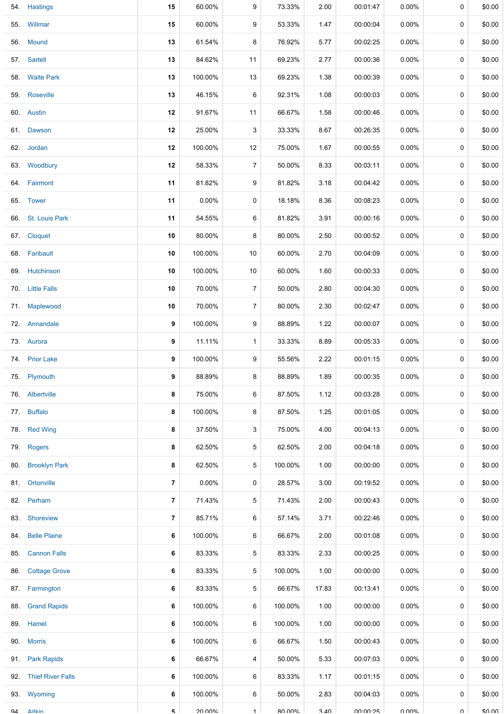|     | 54. Hastings          | 15             | 60.00%   | 9              | 73.33%         | 2.00  | 00:01:47 | $0.00\%$ | 0           | \$0.00      |
|-----|-----------------------|----------------|----------|----------------|----------------|-------|----------|----------|-------------|-------------|
|     | 55. Willmar           | 15             | 60.00%   | 9              | 53.33%         | 1.47  | 00:00:04 | $0.00\%$ | 0           | \$0.00      |
|     | 56. Mound             | 13             | 61.54%   | 8              | 76.92%         | 5.77  | 00:02:25 | 0.00%    | 0           | \$0.00      |
|     | 57. Sartell           | 13             | 84.62%   | 11             | 69.23%         | 2.77  | 00:00:36 | $0.00\%$ | 0           | \$0.00      |
|     | 58. Waite Park        | 13             | 100.00%  | 13             | 69.23%         | 1.38  | 00:00:39 | $0.00\%$ | 0           | \$0.00      |
|     | 59. Roseville         | 13             | 46.15%   | 6              | 92.31%         | 1.08  | 00:00:03 | $0.00\%$ | 0           | \$0.00      |
|     | 60. Austin            | 12             | 91.67%   | 11             | 66.67%         | 1.58  | 00:00:46 | $0.00\%$ | 0           | \$0.00      |
|     | 61. Dawson            | 12             | 25.00%   | 3              | 33.33%         | 8.67  | 00:26:35 | $0.00\%$ | 0           | \$0.00      |
|     | 62. Jordan            | 12             | 100.00%  | 12             | 75.00%         | 1.67  | 00:00:55 | $0.00\%$ | 0           | \$0.00      |
|     | 63. Woodbury          | 12             | 58.33%   | $\overline{7}$ | 50.00%         | 8.33  | 00:03:11 | $0.00\%$ | 0           | \$0.00      |
|     | 64. Fairmont          | 11             | 81.82%   | 9              | 81.82%         | 3.18  | 00:04:42 | $0.00\%$ | 0           | \$0.00      |
|     | 65. Tower             | 11             | $0.00\%$ | 0              | 18.18%         | 8.36  | 00:08:23 | $0.00\%$ | 0           | \$0.00      |
|     | 66. St. Louis Park    | 11             | 54.55%   | 6              | 81.82%         | 3.91  | 00:00:16 | $0.00\%$ | 0           | \$0.00      |
|     | 67. Cloquet           | 10             | 80.00%   | 8              | 80.00%         | 2.50  | 00:00:52 | 0.00%    | $\mathbf 0$ | \$0.00      |
|     | 68. Faribault         | 10             | 100.00%  | 10             | 60.00%         | 2.70  | 00:04:09 | 0.00%    | 0           | \$0.00      |
|     | 69. Hutchinson        | 10             | 100.00%  | 10             | 60.00%         | 1.60  | 00:00:33 | 0.00%    | 0           | \$0.00      |
|     | 70. Little Falls      | 10             | 70.00%   | $\overline{7}$ | 50.00%         | 2.80  | 00:04:30 | $0.00\%$ | 0           | \$0.00      |
|     | 71. Maplewood         | 10             | 70.00%   | 7              | 80.00%         | 2.30  | 00:02:47 | 0.00%    | 0           | \$0.00      |
|     | 72. Annandale         | 9              | 100.00%  | 9              | 88.89%         | 1.22  | 00:00:07 | $0.00\%$ | 0           | \$0.00      |
|     | 73. Aurora            | 9              | 11.11%   | 1              | 33.33%         | 8.89  | 00:05:33 | $0.00\%$ | 0           | \$0.00      |
|     | 74. Prior Lake        | 9              | 100.00%  | 9              | 55.56%         | 2.22  | 00:01:15 | $0.00\%$ | 0           | \$0.00      |
|     | 75. Plymouth          | 9              | 88.89%   | 8              | 88.89%         | 1.89  | 00:00:35 | $0.00\%$ | 0           | \$0.00      |
|     | 76. Albertville       | 8              | 75.00%   | 6              | 87.50%         | 1.12  | 00:03:28 | 0.00%    | 0           | \$0.00      |
|     | 77. Buffalo           | 8              | 100.00%  | 8              | 87.50%         | 1.25  | 00:01:05 | $0.00\%$ | 0           | \$0.00      |
| 78. | <b>Red Wing</b>       | 8              | 37.50%   | 3              | 75.00%         | 4.00  | 00:04:13 | $0.00\%$ | 0           | \$0.00      |
|     | 79. Rogers            | 8              | 62.50%   | 5              | 62.50%         | 2.00  | 00:04:18 | $0.00\%$ | 0           | \$0.00      |
| 80. | <b>Brooklyn Park</b>  | 8              | 62.50%   | 5              | 100.00%        | 1.00  | 00:00:00 | 0.00%    | 0           | \$0.00      |
| 81. | Ortonville            | $\overline{7}$ | 0.00%    | 0              | 28.57%         | 3.00  | 00:19:52 | 0.00%    | 0           | \$0.00      |
|     | 82. Perham            | $\overline{7}$ | 71.43%   | 5              | 71.43%         | 2.00  | 00:00:43 | $0.00\%$ | 0           | \$0.00      |
| 83. | Shoreview             | 7              | 85.71%   | 6              | 57.14%         | 3.71  | 00:22:46 | $0.00\%$ | 0           | \$0.00      |
| 84. | <b>Belle Plaine</b>   | 6              | 100.00%  | 6              | 66.67%         | 2.00  | 00:01:08 | 0.00%    | 0           | \$0.00      |
| 85. | <b>Cannon Falls</b>   | 6              | 83.33%   | 5              | 83.33%         | 2.33  | 00:00:25 | $0.00\%$ | 0           | \$0.00      |
| 86. | <b>Cottage Grove</b>  | 6              | 83.33%   | 5              | 100.00%        | 1.00  | 00:00:00 | 0.00%    | 0           | \$0.00      |
|     | 87. Farmington        | 6              | 83.33%   | 5              | 66.67%         | 17.83 | 00:13:41 | 0.00%    | 0           | \$0.00      |
| 88. | <b>Grand Rapids</b>   | 6              | 100.00%  | 6              | 100.00%        | 1.00  | 00:00:00 | 0.00%    | 0           | \$0.00      |
|     | 89. Hamel             | 6              | 100.00%  | 6              | 100.00%        | 1.00  | 00:00:00 | $0.00\%$ | 0           | \$0.00      |
|     | 90. Morris            | 6              | 100.00%  | 6              | 66.67%         | 1.50  | 00:00:43 | 0.00%    | 0           | \$0.00      |
| 91. | <b>Park Rapids</b>    | 6              | 66.67%   | 4              | 50.00%         | 5.33  | 00:07:03 | $0.00\%$ | 0           | \$0.00      |
|     | 92. Thief River Falls | 6              | 100.00%  | 6              | 83.33%         | 1.17  | 00:01:15 | $0.00\%$ | 0           | \$0.00      |
| 93. | Wyoming               | 6              | 100.00%  | 6              | 50.00%         | 2.83  | 00:04:03 | $0.00\%$ | 0           | \$0.00      |
| QΔ  | <b>Aitkin</b>         | 5.             | 20 UUN   | $\mathbf{1}$   | <b>ጸ</b> በ በበ% | 3 4 O | 00.00.25 | U UUN    | $\cap$      | $S$ $O$ $O$ |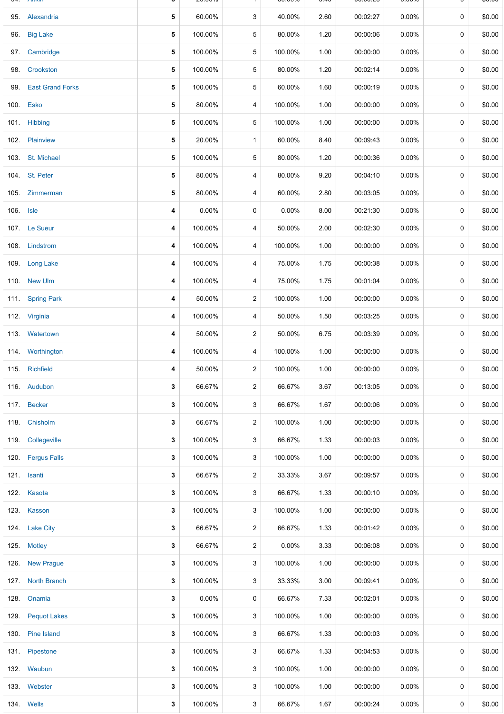|           | <b>EXIGATE</b>       |   | 20.0070  |                | <b>00.0070</b> | ∪.⊤∪ | 00.00.ZU | <b>0.0070</b> |             | ψυ.υυ  |
|-----------|----------------------|---|----------|----------------|----------------|------|----------|---------------|-------------|--------|
|           | 95. Alexandria       | 5 | 60.00%   | 3              | 40.00%         | 2.60 | 00:02:27 | $0.00\%$      | $\mathbf 0$ | \$0.00 |
| 96.       | <b>Big Lake</b>      | 5 | 100.00%  | 5              | 80.00%         | 1.20 | 00:00:06 | $0.00\%$      | 0           | \$0.00 |
|           | 97. Cambridge        | 5 | 100.00%  | 5              | 100.00%        | 1.00 | 00:00:00 | $0.00\%$      | 0           | \$0.00 |
| 98.       | Crookston            | 5 | 100.00%  | 5              | 80.00%         | 1.20 | 00:02:14 | $0.00\%$      | 0           | \$0.00 |
|           | 99. East Grand Forks | 5 | 100.00%  | 5              | 60.00%         | 1.60 | 00:00:19 | $0.00\%$      | 0           | \$0.00 |
|           | 100. Esko            | 5 | 80.00%   | 4              | 100.00%        | 1.00 | 00:00:00 | 0.00%         | 0           | \$0.00 |
|           | 101. Hibbing         | 5 | 100.00%  | 5              | 100.00%        | 1.00 | 00:00:00 | 0.00%         | 0           | \$0.00 |
|           | 102. Plainview       | 5 | 20.00%   | 1              | 60.00%         | 8.40 | 00:09:43 | $0.00\%$      | 0           | \$0.00 |
|           | 103. St. Michael     | 5 | 100.00%  | 5              | 80.00%         | 1.20 | 00:00:36 | $0.00\%$      | 0           | \$0.00 |
|           | 104. St. Peter       | 5 | 80.00%   | 4              | 80.00%         | 9.20 | 00:04:10 | $0.00\%$      | 0           | \$0.00 |
|           | 105. Zimmerman       | 5 | 80.00%   | 4              | 60.00%         | 2.80 | 00:03:05 | $0.00\%$      | 0           | \$0.00 |
| 106. Isle |                      | 4 | $0.00\%$ | 0              | 0.00%          | 8.00 | 00:21:30 | $0.00\%$      | 0           | \$0.00 |
|           | 107. Le Sueur        | 4 | 100.00%  | 4              | 50.00%         | 2.00 | 00:02:30 | $0.00\%$      | 0           | \$0.00 |
|           | 108. Lindstrom       | 4 | 100.00%  | 4              | 100.00%        | 1.00 | 00:00:00 | $0.00\%$      | 0           | \$0.00 |
|           | 109. Long Lake       | 4 | 100.00%  | 4              | 75.00%         | 1.75 | 00:00:38 | $0.00\%$      | 0           | \$0.00 |
|           | 110. New Ulm         | 4 | 100.00%  | 4              | 75.00%         | 1.75 | 00:01:04 | $0.00\%$      | 0           | \$0.00 |
|           | 111. Spring Park     | 4 | 50.00%   | $\overline{2}$ | 100.00%        | 1.00 | 00:00:00 | $0.00\%$      | 0           | \$0.00 |
|           | 112. Virginia        | 4 | 100.00%  | 4              | 50.00%         | 1.50 | 00:03:25 | $0.00\%$      | 0           | \$0.00 |
|           | 113 Watertown        | 4 | 50.00%   | 2              | 50.00%         | 6.75 | 00:03:39 | $0.00\%$      | 0           | \$0.00 |
|           | 114. Worthington     | 4 | 100.00%  | 4              | 100.00%        | 1.00 | 00:00:00 | $0.00\%$      | 0           | \$0.00 |
|           | 115. Richfield       | 4 | 50.00%   | $\overline{a}$ | 100.00%        | 1.00 | 00:00:00 | $0.00\%$      | 0           | \$0.00 |
|           | 116. Audubon         | 3 | 66.67%   | 2              | 66.67%         | 3.67 | 00:13:05 | 0.00%         | 0           | \$0.00 |
|           | 117. Becker          | 3 | 100.00%  | 3              | 66.67%         | 1.67 | 00:00:06 | $0.00\%$      | 0           | \$0.00 |
|           | 118. Chisholm        | 3 | 66.67%   | 2              | 100.00%        | 1.00 | 00:00:00 | $0.00\%$      | 0           | \$0.00 |
|           | 119. Collegeville    | 3 | 100.00%  | 3              | 66.67%         | 1.33 | 00:00:03 | $0.00\%$      | 0           | \$0.00 |
|           | 120. Fergus Falls    | 3 | 100.00%  | 3              | 100.00%        | 1.00 | 00:00:00 | $0.00\%$      | 0           | \$0.00 |
|           | 121. Isanti          | 3 | 66.67%   | 2              | 33.33%         | 3.67 | 00:09:57 | $0.00\%$      | 0           | \$0.00 |
|           | 122. Kasota          | 3 | 100.00%  | 3              | 66.67%         | 1.33 | 00:00:10 | $0.00\%$      | 0           | \$0.00 |
|           | 123. Kasson          | 3 | 100.00%  | 3              | 100.00%        | 1.00 | 00:00:00 | $0.00\%$      | 0           | \$0.00 |
| 124.      | <b>Lake City</b>     | 3 | 66.67%   | $\overline{2}$ | 66.67%         | 1.33 | 00:01:42 | $0.00\%$      | 0           | \$0.00 |
|           | 125. Motley          | 3 | 66.67%   | 2              | 0.00%          | 3.33 | 00:06:08 | $0.00\%$      | 0           | \$0.00 |
| 126.      | <b>New Prague</b>    | 3 | 100.00%  | 3              | 100.00%        | 1.00 | 00:00:00 | $0.00\%$      | 0           | \$0.00 |
| 127.      | <b>North Branch</b>  | 3 | 100.00%  | 3              | 33.33%         | 3.00 | 00:09:41 | $0.00\%$      | 0           | \$0.00 |
| 128.      | Onamia               | 3 | $0.00\%$ | 0              | 66.67%         | 7.33 | 00:02:01 | $0.00\%$      | 0           | \$0.00 |
| 129.      | <b>Pequot Lakes</b>  | 3 | 100.00%  | 3              | 100.00%        | 1.00 | 00:00:00 | $0.00\%$      | 0           | \$0.00 |
| 130.      | Pine Island          | 3 | 100.00%  | 3              | 66.67%         | 1.33 | 00:00:03 | $0.00\%$      | 0           | \$0.00 |
|           | 131. Pipestone       | 3 | 100.00%  | 3              | 66.67%         | 1.33 | 00:04:53 | $0.00\%$      | 0           | \$0.00 |
|           | 132. Waubun          | 3 | 100.00%  | 3              | 100.00%        | 1.00 | 00:00:00 | $0.00\%$      | 0           | \$0.00 |
|           | 133. Webster         | 3 | 100.00%  | 3              | 100.00%        | 1.00 | 00:00:00 | $0.00\%$      | 0           | \$0.00 |
|           | 134. Wells           | 3 | 100.00%  | 3              | 66.67%         | 1.67 | 00:00:24 | $0.00\%$      | 0           | \$0.00 |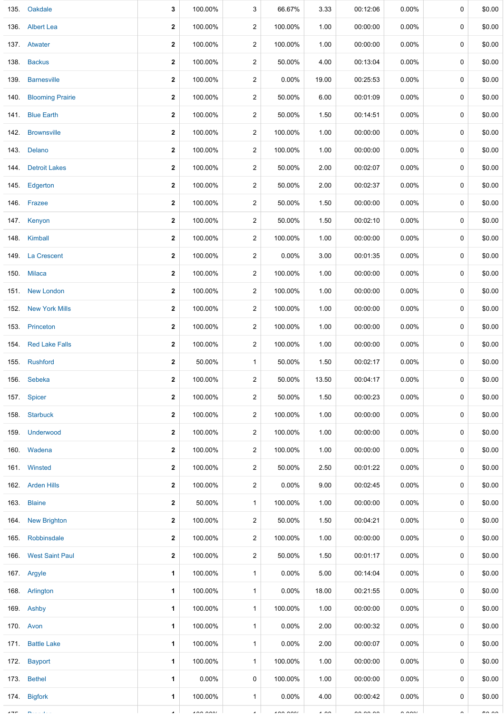|      | 135. Oakdale          | 3            | 100.00%  | 3              | 66.67%   | 3.33           | 00:12:06             | $0.00\%$             | 0 | \$0.00        |
|------|-----------------------|--------------|----------|----------------|----------|----------------|----------------------|----------------------|---|---------------|
|      | 136. Albert Lea       | $\mathbf{2}$ | 100.00%  | 2              | 100.00%  | 1.00           | 00:00:00             | $0.00\%$             | 0 | \$0.00        |
|      | 137. Atwater          | $\mathbf{2}$ | 100.00%  | $\overline{c}$ | 100.00%  | 1.00           | 00:00:00             | 0.00%                | 0 | \$0.00        |
| 138. | <b>Backus</b>         | 2            | 100.00%  | 2              | 50.00%   | 4.00           | 00:13:04             | 0.00%                | 0 | \$0.00        |
|      | 139. Barnesville      | 2            | 100.00%  | 2              | 0.00%    | 19.00          | 00:25:53             | $0.00\%$             | 0 | \$0.00        |
|      | 140. Blooming Prairie | $\mathbf{2}$ | 100.00%  | 2              | 50.00%   | 6.00           | 00:01:09             | $0.00\%$             | 0 | \$0.00        |
|      | 141. Blue Earth       | $\mathbf{2}$ | 100.00%  | 2              | 50.00%   | 1.50           | 00:14:51             | 0.00%                | 0 | \$0.00        |
|      | 142. Brownsville      | 2            | 100.00%  | 2              | 100.00%  | 1.00           | 00:00:00             | $0.00\%$             | 0 | \$0.00        |
|      | 143. Delano           | $\mathbf{2}$ | 100.00%  | 2              | 100.00%  | 1.00           | 00:00:00             | $0.00\%$             | 0 | \$0.00        |
|      | 144 Detroit Lakes     | $\mathbf{2}$ | 100.00%  | $\overline{c}$ | 50.00%   | 2.00           | 00:02:07             | $0.00\%$             | 0 | \$0.00        |
|      | 145. Edgerton         | $\mathbf{2}$ | 100.00%  | 2              | 50.00%   | 2.00           | 00:02:37             | $0.00\%$             | 0 | \$0.00        |
|      | 146. Frazee           | $\mathbf{2}$ | 100.00%  | $\overline{c}$ | 50.00%   | 1.50           | 00:00:00             | 0.00%                | 0 | \$0.00        |
|      | 147. Kenyon           | 2            | 100.00%  | 2              | 50.00%   | 1.50           | 00:02:10             | 0.00%                | 0 | \$0.00        |
|      | 148. Kimball          | $\mathbf{2}$ | 100.00%  | $\overline{c}$ | 100.00%  | 1.00           | 00:00:00             | $0.00\%$             | 0 | \$0.00        |
|      | 149. La Crescent      | 2            | 100.00%  | 2              | 0.00%    | 3.00           | 00:01:35             | 0.00%                | 0 | \$0.00        |
|      | 150. Milaca           | $\mathbf{2}$ | 100.00%  | $\overline{c}$ | 100.00%  | 1.00           | 00:00:00             | 0.00%                | 0 | \$0.00        |
|      | 151 New London        | 2            | 100.00%  | 2              | 100.00%  | 1.00           | 00:00:00             | $0.00\%$             | 0 | \$0.00        |
| 152. | <b>New York Mills</b> | $\mathbf{2}$ | 100.00%  | $\overline{c}$ | 100.00%  | 1.00           | 00:00:00             | 0.00%                | 0 | \$0.00        |
|      | 153. Princeton        | $\mathbf{2}$ | 100.00%  | 2              | 100.00%  | 1.00           | 00:00:00             | 0.00%                | 0 | \$0.00        |
|      | 154. Red Lake Falls   | 2            | 100.00%  | 2              | 100.00%  | 1.00           | 00:00:00             | $0.00\%$             | 0 | \$0.00        |
|      | 155. Rushford         | 2            | 50.00%   | $\mathbf{1}$   | 50.00%   | 1.50           | 00:02:17             | $0.00\%$             | 0 | \$0.00        |
|      | 156. Sebeka           | $\mathbf{2}$ | 100.00%  | $\overline{c}$ | 50.00%   | 13.50          | 00:04:17             | $0.00\%$             | 0 | \$0.00        |
|      | 157. Spicer           | $\mathbf{2}$ | 100.00%  | $\overline{c}$ | 50.00%   | 1.50           | 00:00:23             | $0.00\%$             | 0 | \$0.00        |
|      | 158. Starbuck         | $\mathbf{2}$ | 100.00%  | $\overline{c}$ | 100.00%  | 1.00           | 00:00:00             | $0.00\%$             | 0 | \$0.00        |
|      | 159. Underwood        | $\mathbf{2}$ | 100.00%  | 2              | 100.00%  | 1.00           | 00:00:00             | $0.00\%$             | 0 | \$0.00        |
|      | 160. Wadena           | $\mathbf{2}$ | 100.00%  | 2              | 100.00%  | 1.00           | 00:00:00             | 0.00%                | 0 | \$0.00        |
|      | 161. Winsted          | $\mathbf{2}$ | 100.00%  | $\overline{c}$ | 50.00%   | 2.50           | 00:01:22             | $0.00\%$             | 0 | \$0.00        |
|      | 162. Arden Hills      | 2            | 100.00%  | 2              | $0.00\%$ | 9.00           | 00:02:45             | $0.00\%$             | 0 | \$0.00        |
|      | 163. Blaine           | $\mathbf{2}$ | 50.00%   | $\mathbf{1}$   | 100.00%  | 1.00           | 00:00:00             | $0.00\%$             | 0 | \$0.00        |
|      | 164 New Brighton      | 2            | 100.00%  | 2              | 50.00%   | 1.50           | 00:04:21             | $0.00\%$             | 0 | \$0.00        |
|      | 165. Robbinsdale      | $\mathbf{2}$ | 100.00%  | $\overline{2}$ | 100.00%  | 1.00           | 00:00:00             | $0.00\%$             | 0 | \$0.00        |
|      | 166. West Saint Paul  | $\mathbf{2}$ | 100.00%  | 2              | 50.00%   | 1.50           | 00:01:17             | $0.00\%$             | 0 | \$0.00        |
|      | 167. Argyle           | $\mathbf 1$  | 100.00%  | $\mathbf{1}$   | $0.00\%$ | 5.00           | 00:14:04             | $0.00\%$             | 0 | \$0.00        |
|      | 168. Arlington        | 1            | 100.00%  | 1              | 0.00%    | 18.00          | 00:21:55             | $0.00\%$             | 0 | \$0.00        |
|      | 169. Ashby            | 1            | 100.00%  | $\mathbf{1}$   | 100.00%  | 1.00           | 00:00:00             | $0.00\%$             | 0 | \$0.00        |
|      | 170. Avon             | 1            | 100.00%  | $\mathbf{1}$   | $0.00\%$ | 2.00           | 00:00:32             | $0.00\%$             | 0 | \$0.00        |
|      | 171. Battle Lake      | 1            | 100.00%  | $\mathbf{1}$   | $0.00\%$ | 2.00           | 00:00:07             | $0.00\%$             | 0 | \$0.00        |
|      | 172. Bayport          | $\mathbf 1$  | 100.00%  | 1              | 100.00%  | 1.00           | 00:00:00             | $0.00\%$             | 0 | \$0.00        |
|      | 173. Bethel           | $\mathbf 1$  | 0.00%    | 0              | 100.00%  | 1.00           | 00:00:00             | $0.00\%$             | 0 | \$0.00        |
|      | 174. Bigfork          | $\mathbf 1$  | 100.00%  | $\mathbf{1}$   | $0.00\%$ | 4.00           | 00:00:42             | $0.00\%$             | 0 | \$0.00        |
|      |                       |              | $\cdots$ |                | $\cdots$ | $\overline{1}$ | $\sim$ $\sim$ $\sim$ | $\sim$ $\sim$ $\sim$ |   | $\sim$ $\sim$ |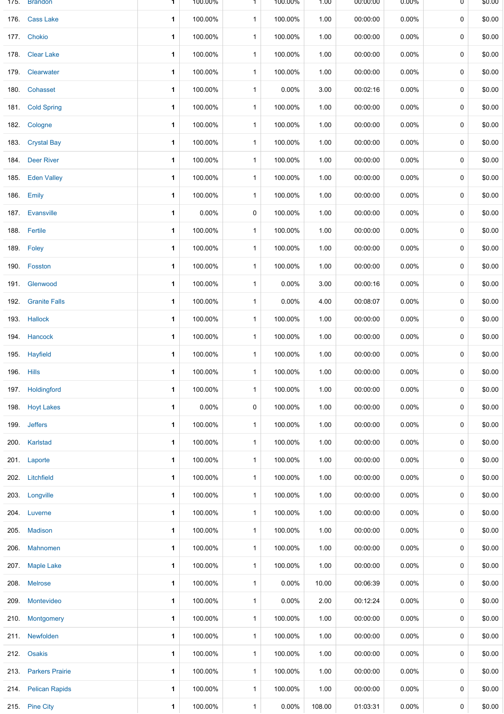| 175.       | <b>Brandon</b>         | 1            | 100.00%  | 1            | 100.00%  | 1.00   | 00:00:00 | $0.00\%$ | 0 | \$0.00 |
|------------|------------------------|--------------|----------|--------------|----------|--------|----------|----------|---|--------|
| 176.       | <b>Cass Lake</b>       | 1            | 100.00%  | $\mathbf{1}$ | 100.00%  | 1.00   | 00:00:00 | $0.00\%$ | 0 | \$0.00 |
|            | 177. Chokio            | 1            | 100.00%  | $\mathbf{1}$ | 100.00%  | 1.00   | 00:00:00 | $0.00\%$ | 0 | \$0.00 |
| 178.       | <b>Clear Lake</b>      | 1            | 100.00%  | 1            | 100.00%  | 1.00   | 00:00:00 | $0.00\%$ | 0 | \$0.00 |
|            | 179. Clearwater        | 1            | 100.00%  | $\mathbf{1}$ | 100.00%  | 1.00   | 00:00:00 | $0.00\%$ | 0 | \$0.00 |
| 180.       | Cohasset               | 1            | 100.00%  | 1            | 0.00%    | 3.00   | 00:02:16 | $0.00\%$ | 0 | \$0.00 |
|            | 181. Cold Spring       | 1            | 100.00%  | $\mathbf{1}$ | 100.00%  | 1.00   | 00:00:00 | $0.00\%$ | 0 | \$0.00 |
| 182.       | Cologne                | 1            | 100.00%  | 1            | 100.00%  | 1.00   | 00:00:00 | $0.00\%$ | 0 | \$0.00 |
| 183.       | <b>Crystal Bay</b>     | 1            | 100.00%  | $\mathbf{1}$ | 100.00%  | 1.00   | 00:00:00 | $0.00\%$ | 0 | \$0.00 |
|            | 184. Deer River        | 1            | 100.00%  | 1            | 100.00%  | 1.00   | 00:00:00 | $0.00\%$ | 0 | \$0.00 |
| 185.       | <b>Eden Valley</b>     | 1            | 100.00%  | $\mathbf{1}$ | 100.00%  | 1.00   | 00:00:00 | $0.00\%$ | 0 | \$0.00 |
| 186.       | Emily                  | 1            | 100.00%  | 1            | 100.00%  | 1.00   | 00:00:00 | $0.00\%$ | 0 | \$0.00 |
| 187.       | Evansville             | 1            | $0.00\%$ | 0            | 100.00%  | 1.00   | 00:00:00 | 0.00%    | 0 | \$0.00 |
|            | 188. Fertile           | 1            | 100.00%  | $\mathbf{1}$ | 100.00%  | 1.00   | 00:00:00 | $0.00\%$ | 0 | \$0.00 |
| 189.       | Foley                  | $\mathbf{1}$ | 100.00%  | $\mathbf{1}$ | 100.00%  | 1.00   | 00:00:00 | $0.00\%$ | 0 | \$0.00 |
|            | 190. Fosston           | 1            | 100.00%  | 1            | 100.00%  | 1.00   | 00:00:00 | $0.00\%$ | 0 | \$0.00 |
| 191.       | Glenwood               | 1            | 100.00%  | $\mathbf{1}$ | 0.00%    | 3.00   | 00:00:16 | $0.00\%$ | 0 | \$0.00 |
|            | 192. Granite Falls     | 1            | 100.00%  | 1            | $0.00\%$ | 4.00   | 00:08:07 | $0.00\%$ | 0 | \$0.00 |
| 193.       | Hallock                | 1            | 100.00%  | 1            | 100.00%  | 1.00   | 00:00:00 | $0.00\%$ | 0 | \$0.00 |
|            | 194. Hancock           | 1            | 100.00%  | 1            | 100.00%  | 1.00   | 00:00:00 | $0.00\%$ | 0 | \$0.00 |
|            | 195. Hayfield          | 1            | 100.00%  | 1            | 100.00%  | 1.00   | 00:00:00 | 0.00%    | 0 | \$0.00 |
| 196. Hills |                        | 1            | 100.00%  | $\mathbf{1}$ | 100.00%  | 1.00   | 00:00:00 | $0.00\%$ | 0 | \$0.00 |
|            | 197. Holdingford       | 1            | 100.00%  | 1            | 100.00%  | 1.00   | 00:00:00 | 0.00%    | 0 | \$0.00 |
| 198.       | <b>Hoyt Lakes</b>      | 1            | 0.00%    | 0            | 100.00%  | 1.00   | 00:00:00 | $0.00\%$ | 0 | \$0.00 |
| 199.       | <b>Jeffers</b>         | 1            | 100.00%  | 1            | 100.00%  | 1.00   | 00:00:00 | $0.00\%$ | 0 | \$0.00 |
| 200.       | Karlstad               | 1            | 100.00%  | 1            | 100.00%  | 1.00   | 00:00:00 | $0.00\%$ | 0 | \$0.00 |
|            | 201. Laporte           | 1            | 100.00%  | 1            | 100.00%  | 1.00   | 00:00:00 | 0.00%    | 0 | \$0.00 |
| 202.       | Litchfield             | 1            | 100.00%  | $\mathbf{1}$ | 100.00%  | 1.00   | 00:00:00 | $0.00\%$ | 0 | \$0.00 |
|            | 203. Longville         | 1            | 100.00%  | 1            | 100.00%  | 1.00   | 00:00:00 | $0.00\%$ | 0 | \$0.00 |
|            | 204. Luverne           | 1            | 100.00%  | 1            | 100.00%  | 1.00   | 00:00:00 | $0.00\%$ | 0 | \$0.00 |
|            | 205. Madison           | 1            | 100.00%  | 1            | 100.00%  | 1.00   | 00:00:00 | $0.00\%$ | 0 | \$0.00 |
| 206.       | <b>Mahnomen</b>        | $\mathbf{1}$ | 100.00%  | $\mathbf{1}$ | 100.00%  | 1.00   | 00:00:00 | $0.00\%$ | 0 | \$0.00 |
| 207.       | <b>Maple Lake</b>      | 1            | 100.00%  | 1            | 100.00%  | 1.00   | 00:00:00 | $0.00\%$ | 0 | \$0.00 |
| 208.       | <b>Melrose</b>         | 1            | 100.00%  | 1            | $0.00\%$ | 10.00  | 00:06:39 | $0.00\%$ | 0 | \$0.00 |
| 209.       | Montevideo             | 1            | 100.00%  | 1            | $0.00\%$ | 2.00   | 00:12:24 | $0.00\%$ | 0 | \$0.00 |
| 210.       | Montgomery             | 1            | 100.00%  | 1            | 100.00%  | 1.00   | 00:00:00 | $0.00\%$ | 0 | \$0.00 |
| 211.       | Newfolden              | 1            | 100.00%  | 1            | 100.00%  | 1.00   | 00:00:00 | 0.00%    | 0 | \$0.00 |
| 212.       | <b>Osakis</b>          | 1            | 100.00%  | 1            | 100.00%  | 1.00   | 00:00:00 | $0.00\%$ | 0 | \$0.00 |
| 213.       | <b>Parkers Prairie</b> | 1            | 100.00%  | $\mathbf{1}$ | 100.00%  | 1.00   | 00:00:00 | $0.00\%$ | 0 | \$0.00 |
| 214.       | <b>Pelican Rapids</b>  | 1            | 100.00%  | 1            | 100.00%  | 1.00   | 00:00:00 | $0.00\%$ | 0 | \$0.00 |
|            | 215. Pine City         | 1            | 100.00%  | $\mathbf{1}$ | $0.00\%$ | 108.00 | 01:03:31 | $0.00\%$ | 0 | \$0.00 |